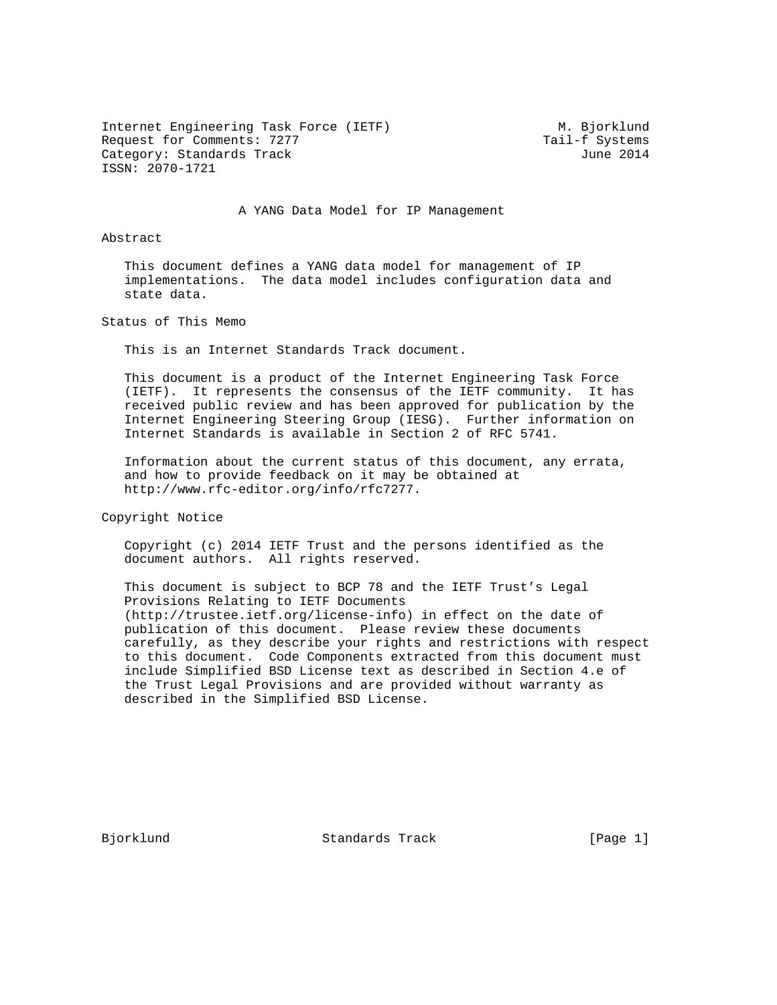Internet Engineering Task Force (IETF) M. Bjorklund Request for Comments: 7277 Tail-f Systems Category: Standards Track  $J$ une 2014 ISSN: 2070-1721

A YANG Data Model for IP Management

## Abstract

 This document defines a YANG data model for management of IP implementations. The data model includes configuration data and state data.

Status of This Memo

This is an Internet Standards Track document.

 This document is a product of the Internet Engineering Task Force (IETF). It represents the consensus of the IETF community. It has received public review and has been approved for publication by the Internet Engineering Steering Group (IESG). Further information on Internet Standards is available in Section 2 of RFC 5741.

 Information about the current status of this document, any errata, and how to provide feedback on it may be obtained at http://www.rfc-editor.org/info/rfc7277.

Copyright Notice

 Copyright (c) 2014 IETF Trust and the persons identified as the document authors. All rights reserved.

 This document is subject to BCP 78 and the IETF Trust's Legal Provisions Relating to IETF Documents (http://trustee.ietf.org/license-info) in effect on the date of publication of this document. Please review these documents carefully, as they describe your rights and restrictions with respect to this document. Code Components extracted from this document must include Simplified BSD License text as described in Section 4.e of the Trust Legal Provisions and are provided without warranty as described in the Simplified BSD License.

Bjorklund Standards Track [Page 1]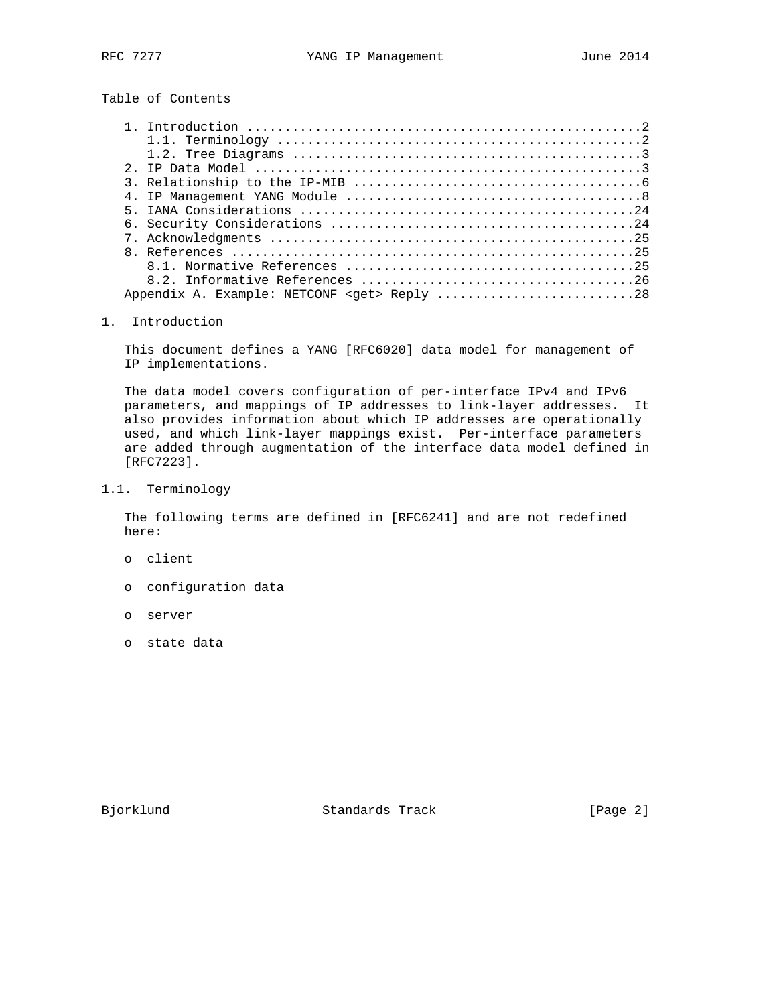Table of Contents

## 1. Introduction

 This document defines a YANG [RFC6020] data model for management of IP implementations.

 The data model covers configuration of per-interface IPv4 and IPv6 parameters, and mappings of IP addresses to link-layer addresses. It also provides information about which IP addresses are operationally used, and which link-layer mappings exist. Per-interface parameters are added through augmentation of the interface data model defined in [RFC7223].

1.1. Terminology

 The following terms are defined in [RFC6241] and are not redefined here:

- o client
- o configuration data
- o server
- o state data

Bjorklund Standards Track [Page 2]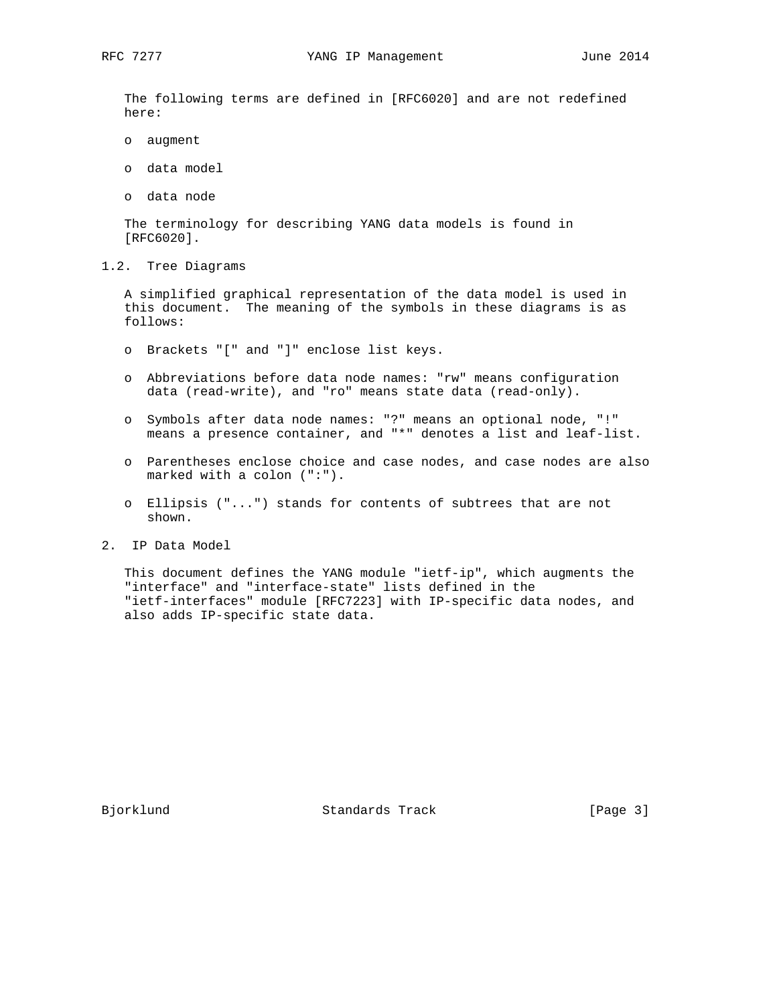The following terms are defined in [RFC6020] and are not redefined here:

- o augment
- o data model
- o data node

 The terminology for describing YANG data models is found in [RFC6020].

1.2. Tree Diagrams

 A simplified graphical representation of the data model is used in this document. The meaning of the symbols in these diagrams is as follows:

- o Brackets "[" and "]" enclose list keys.
- o Abbreviations before data node names: "rw" means configuration data (read-write), and "ro" means state data (read-only).
- o Symbols after data node names: "?" means an optional node, "!" means a presence container, and "\*" denotes a list and leaf-list.
- o Parentheses enclose choice and case nodes, and case nodes are also marked with a colon (":").
- o Ellipsis ("...") stands for contents of subtrees that are not shown.
- 2. IP Data Model

 This document defines the YANG module "ietf-ip", which augments the "interface" and "interface-state" lists defined in the "ietf-interfaces" module [RFC7223] with IP-specific data nodes, and also adds IP-specific state data.

Bjorklund Standards Track [Page 3]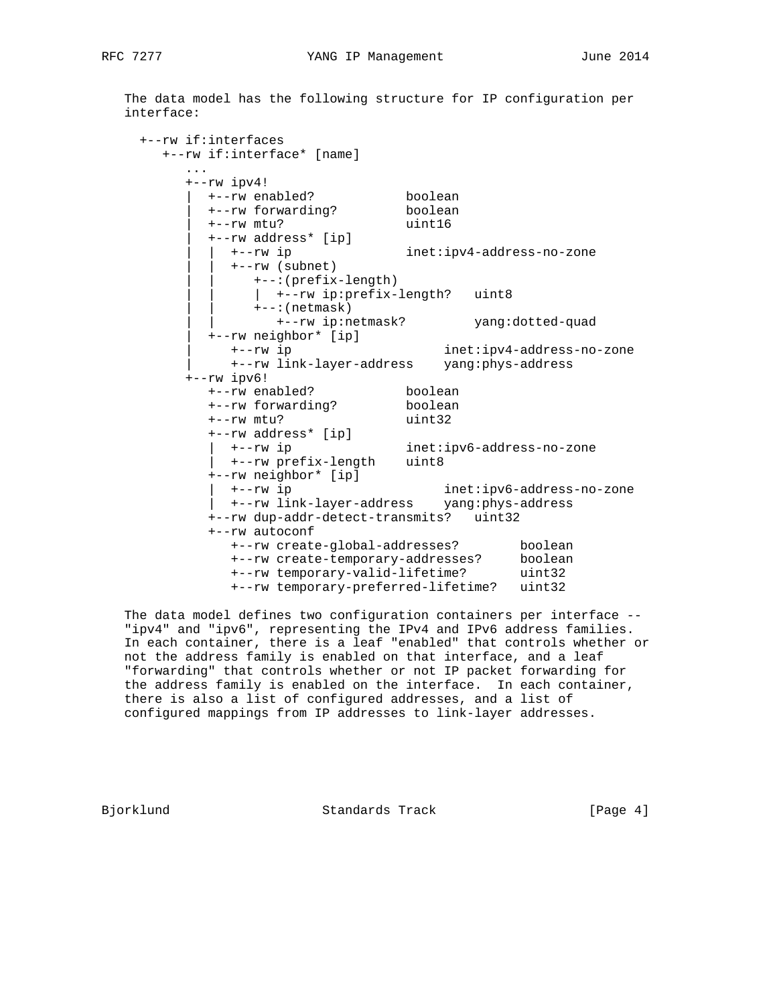The data model has the following structure for IP configuration per interface:

 +--rw if:interfaces +--rw if:interface\* [name] ... +--rw ipv4! | +--rw enabled? boolean | +--rw forwarding? boolean | +--rw mtu? uint16 | +--rw address\* [ip] | | +--rw ip inet:ipv4-address-no-zone | | +--rw (subnet) | | +--:(prefix-length) | | | +--rw ip:prefix-length? uint8 | | +--:(netmask) | | +--rw ip:netmask? yang:dotted-quad | +--rw neighbor\* [ip] | +--rw ip inet:ipv4-address-no-zone | +--rw link-layer-address yang:phys-address +--rw ipv6! +--rw enabled? boolean +--rw forwarding? boolean +--rw mtu? uint32 +--rw address\* [ip] | +--rw ip inet:ipv6-address-no-zone | +--rw prefix-length uint8 +--rw neighbor\* [ip] | +--rw ip inet:ipv6-address-no-zone | +--rw link-layer-address yang:phys-address +--rw dup-addr-detect-transmits? uint32 +--rw autoconf +--rw create-global-addresses? boolean +--rw create-temporary-addresses? boolean +--rw temporary-valid-lifetime? uint32 +--rw temporary-preferred-lifetime? uint32

 The data model defines two configuration containers per interface -- "ipv4" and "ipv6", representing the IPv4 and IPv6 address families. In each container, there is a leaf "enabled" that controls whether or not the address family is enabled on that interface, and a leaf "forwarding" that controls whether or not IP packet forwarding for the address family is enabled on the interface. In each container, there is also a list of configured addresses, and a list of configured mappings from IP addresses to link-layer addresses.

Bjorklund Standards Track [Page 4]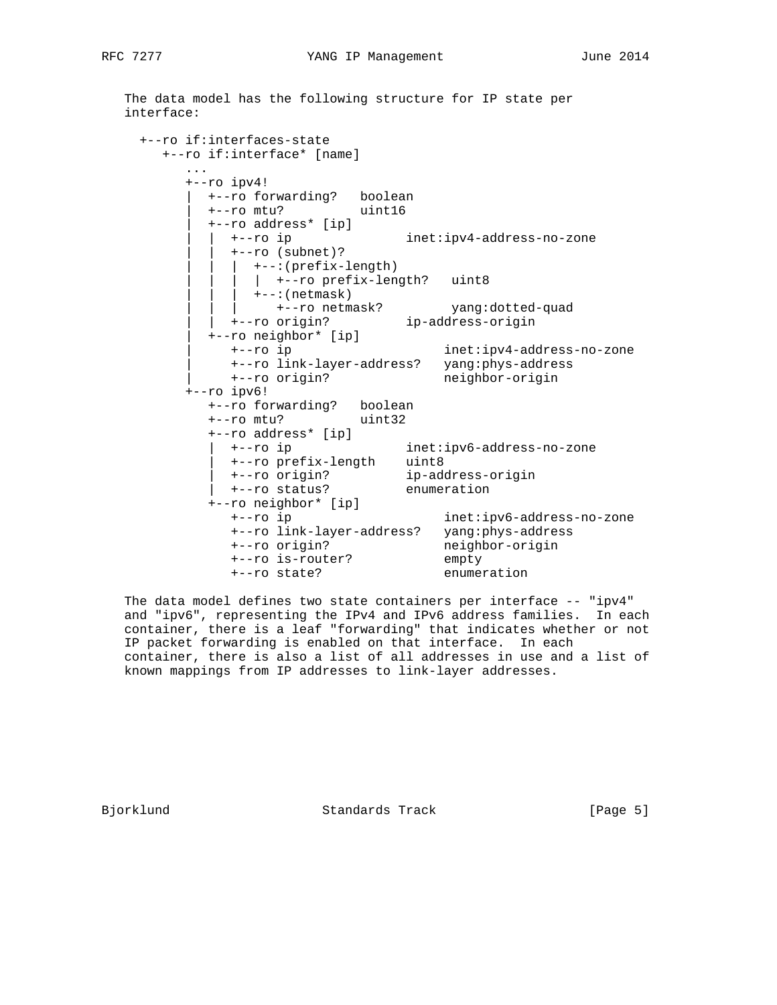```
 The data model has the following structure for IP state per
  interface:
   +--ro if:interfaces-state
      +--ro if:interface* [name]
        ...
        +--ro ipv4!
          | +--ro forwarding? boolean
           | +--ro mtu? uint16
          | +--ro address* [ip]
            | | +--ro ip inet:ipv4-address-no-zone
            | | +--ro (subnet)?
            | +--:(prefix-length) | | | | +--ro prefix-length? uint8
| | | +--:(netmask)
| | | +--ro netmask? yang:dotted-quad
| | +--ro origin? ip-address-origin
           | +--ro neighbor* [ip]
             | +--ro ip inet:ipv4-address-no-zone
             | +--ro link-layer-address? yang:phys-address
            | +--ro origin? neighbor-origin
        +--ro ipv6!
           +--ro forwarding? boolean
           +--ro mtu? uint32
           +--ro address* [ip]
             | +--ro ip inet:ipv6-address-no-zone
             | +--ro prefix-length uint8
| +--ro origin? ip-address-origin
| +--ro status? enumeration
+--ro neighbor* [ip]
             +--ro ip inet:ipv6-address-no-zone
             +--ro link-layer-address? yang:phys-address
+--ro origin? neighbor-origin
```
 The data model defines two state containers per interface -- "ipv4" and "ipv6", representing the IPv4 and IPv6 address families. In each container, there is a leaf "forwarding" that indicates whether or not IP packet forwarding is enabled on that interface. In each container, there is also a list of all addresses in use and a list of known mappings from IP addresses to link-layer addresses.

+--ro state? enumeration

+--ro is-router? empty

Bjorklund Standards Track [Page 5]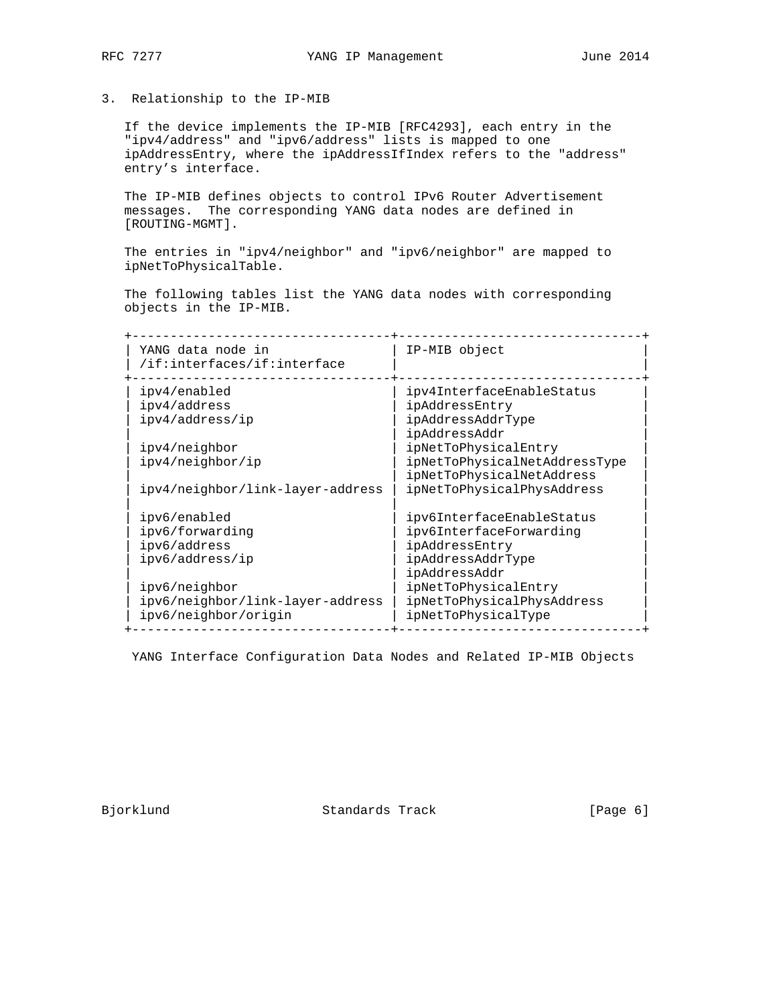3. Relationship to the IP-MIB

 If the device implements the IP-MIB [RFC4293], each entry in the "ipv4/address" and "ipv6/address" lists is mapped to one ipAddressEntry, where the ipAddressIfIndex refers to the "address" entry's interface.

 The IP-MIB defines objects to control IPv6 Router Advertisement messages. The corresponding YANG data nodes are defined in [ROUTING-MGMT].

 The entries in "ipv4/neighbor" and "ipv6/neighbor" are mapped to ipNetToPhysicalTable.

 The following tables list the YANG data nodes with corresponding objects in the IP-MIB.

| YANG data node in<br>/if:interfaces/if:interface | IP-MIB object                 |
|--------------------------------------------------|-------------------------------|
| ipv4/enabled                                     | ipv4InterfaceEnableStatus     |
| ipv4/address                                     | ipAddressEntry                |
| ipv4/address/ip                                  | ipAddressAddrType             |
|                                                  | ipAddressAddr                 |
| ipv4/neighbor                                    | ipNetToPhysicalEntry          |
| ipv4/neighbor/ip                                 | ipNetToPhysicalNetAddressType |
|                                                  | ipNetToPhysicalNetAddress     |
| ipv4/neighbor/link-layer-address                 | ipNetToPhysicalPhysAddress    |
| ipv6/enabled                                     | ipv6InterfaceEnableStatus     |
| ipv6/forwarding                                  | ipv6InterfaceForwarding       |
| ipv6/address                                     | ipAddressEntry                |
| ipv6/address/ip                                  | ipAddressAddrType             |
|                                                  | ipAddressAddr                 |
| ipv6/neighbor                                    | ipNetToPhysicalEntry          |
| ipv6/neighbor/link-layer-address                 | ipNetToPhysicalPhysAddress    |
| ipv6/neighbor/origin                             | ipNetToPhysicalType           |

YANG Interface Configuration Data Nodes and Related IP-MIB Objects

Bjorklund Standards Track [Page 6]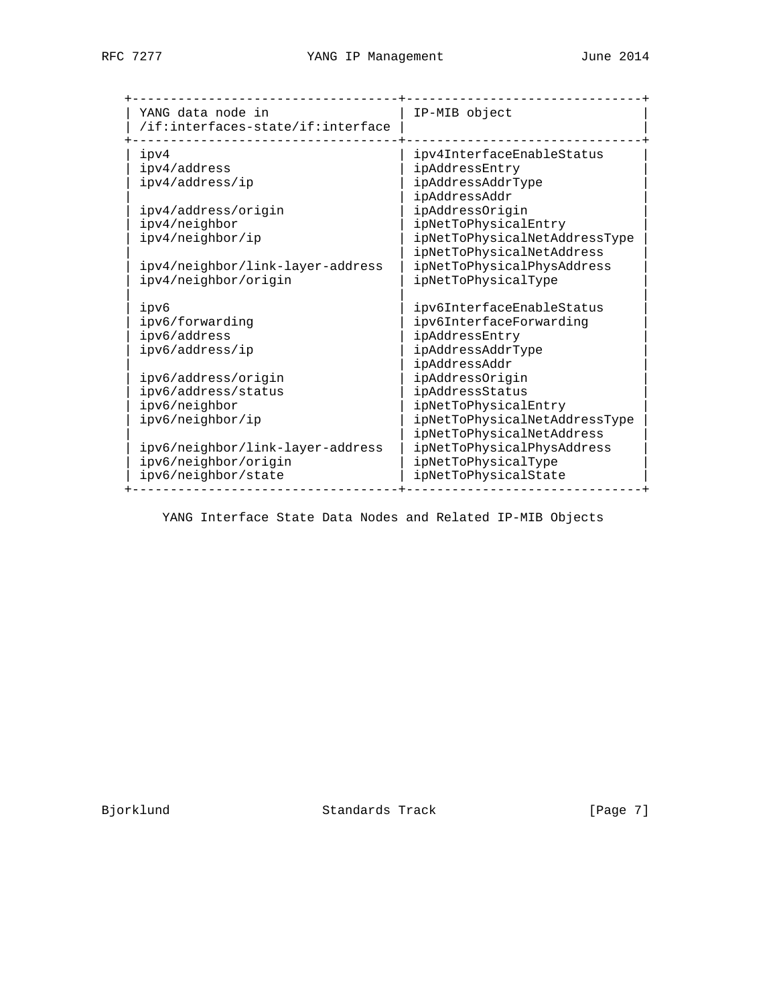| YANG data node in<br>/if:interfaces-state/if:interface | IP-MIB object                 |
|--------------------------------------------------------|-------------------------------|
| ipv4                                                   | ipv4InterfaceEnableStatus     |
| ipv4/address                                           | ipAddressEntry                |
| ipv4/address/ip                                        | ipAddressAddrType             |
|                                                        | ipAddressAddr                 |
| ipv4/address/origin                                    | ipAddressOrigin               |
| ipv4/neighbor                                          | ipNetToPhysicalEntry          |
| ipv4/neighbor/ip                                       | ipNetToPhysicalNetAddressType |
|                                                        | ipNetToPhysicalNetAddress     |
| ipv4/neighbor/link-layer-address                       | ipNetToPhysicalPhysAddress    |
| ipv4/neighbor/origin                                   | ipNetToPhysicalType           |
| ipv6                                                   | ipv6InterfaceEnableStatus     |
| ipv6/forwarding                                        | ipv6InterfaceForwarding       |
| ipv6/address                                           | ipAddressEntry                |
| ipv6/address/ip                                        | ipAddressAddrType             |
|                                                        | ipAddressAddr                 |
| ipv6/address/origin                                    | ipAddressOrigin               |
| ipv6/address/status                                    | ipAddressStatus               |
| ipv6/neighbor                                          | ipNetToPhysicalEntry          |
| ipv6/neighbor/ip                                       | ipNetToPhysicalNetAddressType |
|                                                        | ipNetToPhysicalNetAddress     |
| ipv6/neighbor/link-layer-address                       | ipNetToPhysicalPhysAddress    |
| ipv6/neighbor/origin                                   | ipNetToPhysicalType           |
| ipv6/neighbor/state                                    | ipNetToPhysicalState          |

YANG Interface State Data Nodes and Related IP-MIB Objects

Bjorklund Standards Track [Page 7]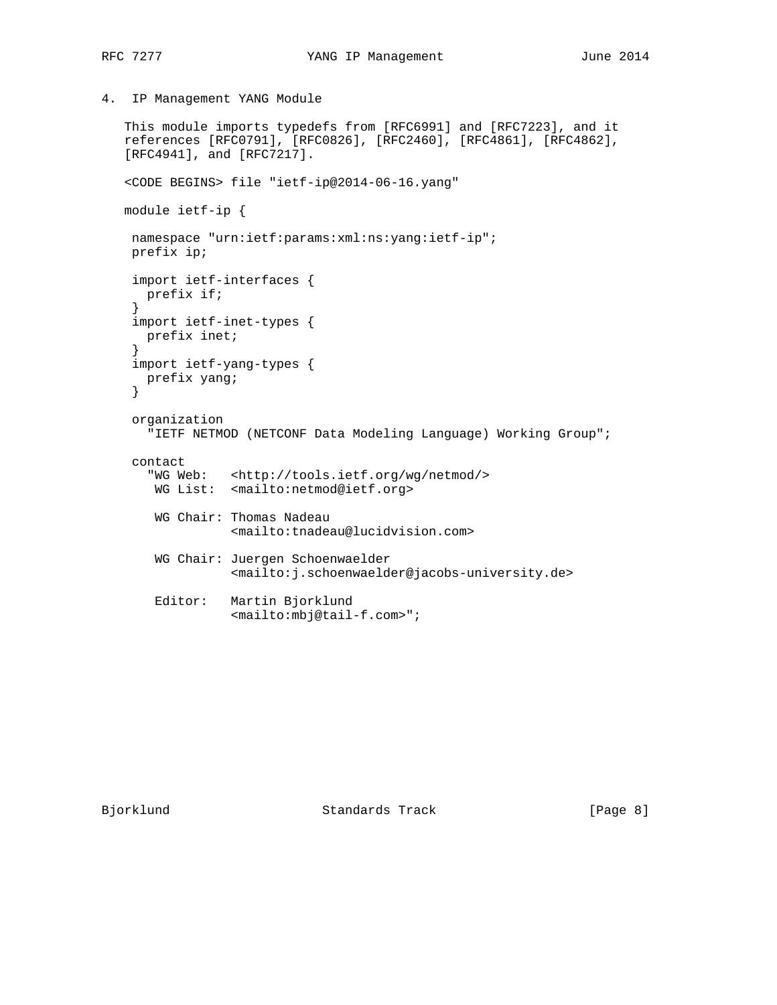4. IP Management YANG Module

```
 This module imports typedefs from [RFC6991] and [RFC7223], and it
references [RFC0791], [RFC0826], [RFC2460], [RFC4861], [RFC4862],
[RFC4941], and [RFC7217].
<CODE BEGINS> file "ietf-ip@2014-06-16.yang"
module ietf-ip {
namespace "urn:ietf:params:xml:ns:yang:ietf-ip";
 prefix ip;
 import ietf-interfaces {
  prefix if;
 }
 import ietf-inet-types {
  prefix inet;
 }
 import ietf-yang-types {
  prefix yang;
 }
 organization
   "IETF NETMOD (NETCONF Data Modeling Language) Working Group";
 contact
   "WG Web: <http://tools.ietf.org/wg/netmod/>
    WG List: <mailto:netmod@ietf.org>
    WG Chair: Thomas Nadeau
              <mailto:tnadeau@lucidvision.com>
    WG Chair: Juergen Schoenwaelder
              <mailto:j.schoenwaelder@jacobs-university.de>
    Editor: Martin Bjorklund
              <mailto:mbj@tail-f.com>";
```
Bjorklund Standards Track [Page 8]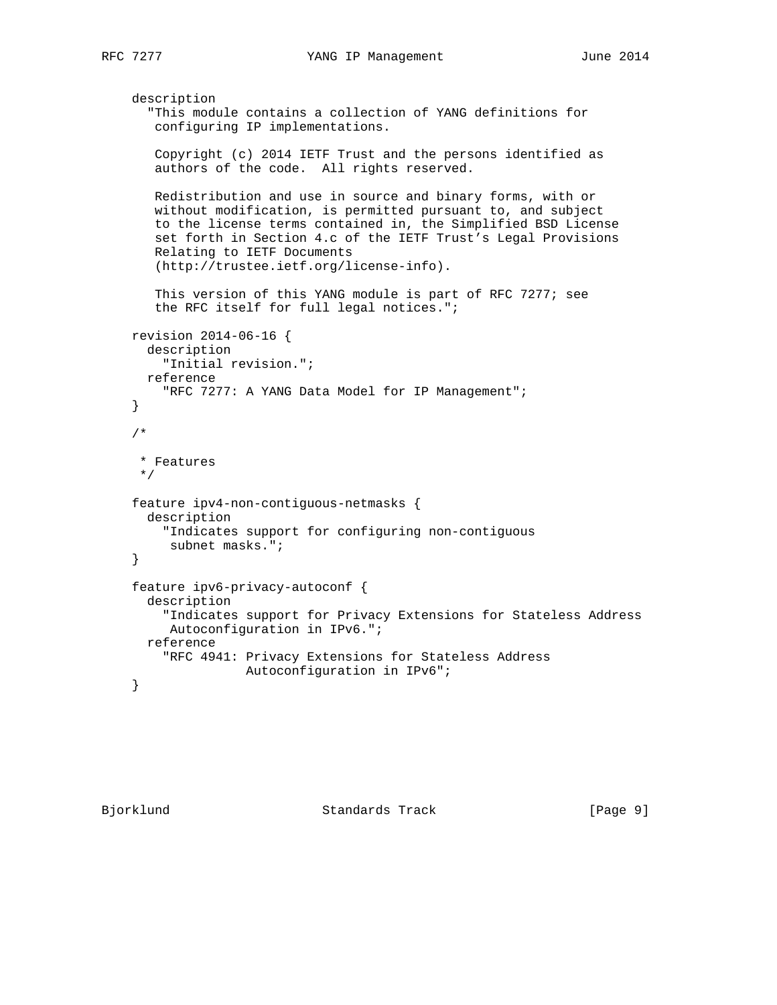```
 description
  "This module contains a collection of YANG definitions for
   configuring IP implementations.
   Copyright (c) 2014 IETF Trust and the persons identified as
   authors of the code. All rights reserved.
   Redistribution and use in source and binary forms, with or
   without modification, is permitted pursuant to, and subject
   to the license terms contained in, the Simplified BSD License
   set forth in Section 4.c of the IETF Trust's Legal Provisions
   Relating to IETF Documents
   (http://trustee.ietf.org/license-info).
   This version of this YANG module is part of RFC 7277; see
   the RFC itself for full legal notices.";
revision 2014-06-16 {
 description
    "Initial revision.";
 reference
    "RFC 7277: A YANG Data Model for IP Management";
}
/*
 * Features
 */
feature ipv4-non-contiguous-netmasks {
  description
    "Indicates support for configuring non-contiguous
    subnet masks.";
}
feature ipv6-privacy-autoconf {
  description
    "Indicates support for Privacy Extensions for Stateless Address
    Autoconfiguration in IPv6.";
 reference
    "RFC 4941: Privacy Extensions for Stateless Address
               Autoconfiguration in IPv6";
}
```
Bjorklund Standards Track [Page 9]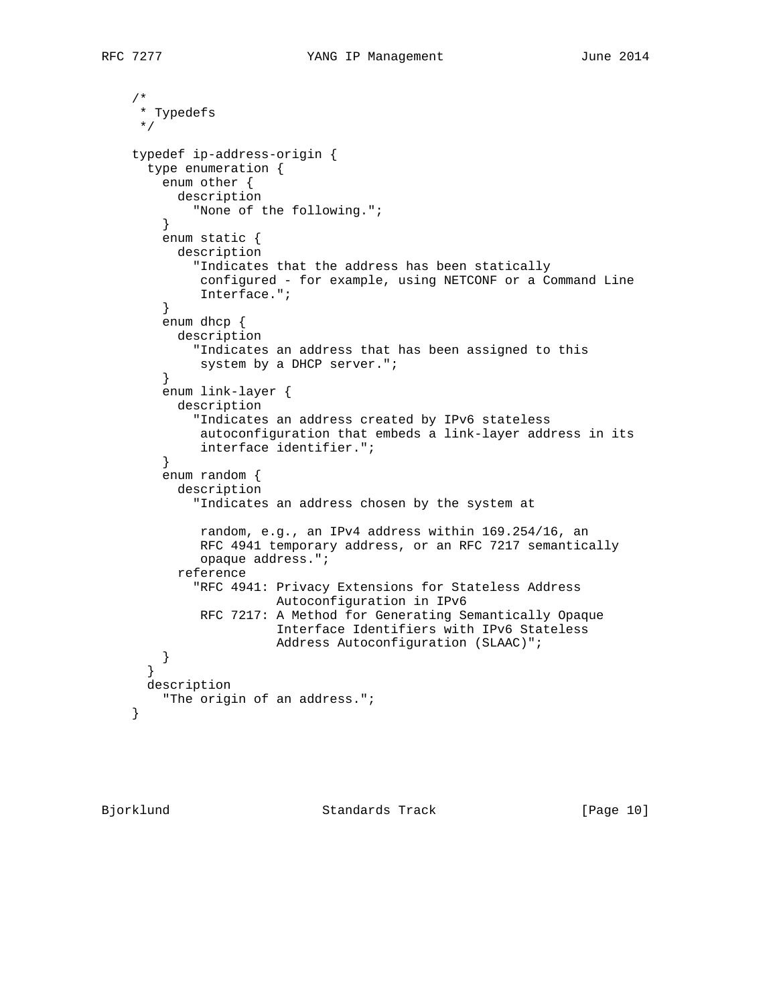```
 /*
     * Typedefs
     */
    typedef ip-address-origin {
      type enumeration {
       enum other {
          description
            "None of the following.";
        }
       enum static {
         description
            "Indicates that the address has been statically
             configured - for example, using NETCONF or a Command Line
             Interface.";
        }
        enum dhcp {
         description
            "Indicates an address that has been assigned to this
             system by a DHCP server.";
        }
        enum link-layer {
          description
            "Indicates an address created by IPv6 stateless
             autoconfiguration that embeds a link-layer address in its
       interface identifier.";<br>}
}
        enum random {
          description
            "Indicates an address chosen by the system at
             random, e.g., an IPv4 address within 169.254/16, an
             RFC 4941 temporary address, or an RFC 7217 semantically
             opaque address.";
          reference
            "RFC 4941: Privacy Extensions for Stateless Address
                       Autoconfiguration in IPv6
             RFC 7217: A Method for Generating Semantically Opaque
                       Interface Identifiers with IPv6 Stateless
                       Address Autoconfiguration (SLAAC)";
       }
      }
     description
       "The origin of an address.";
    }
```
Bjorklund Standards Track [Page 10]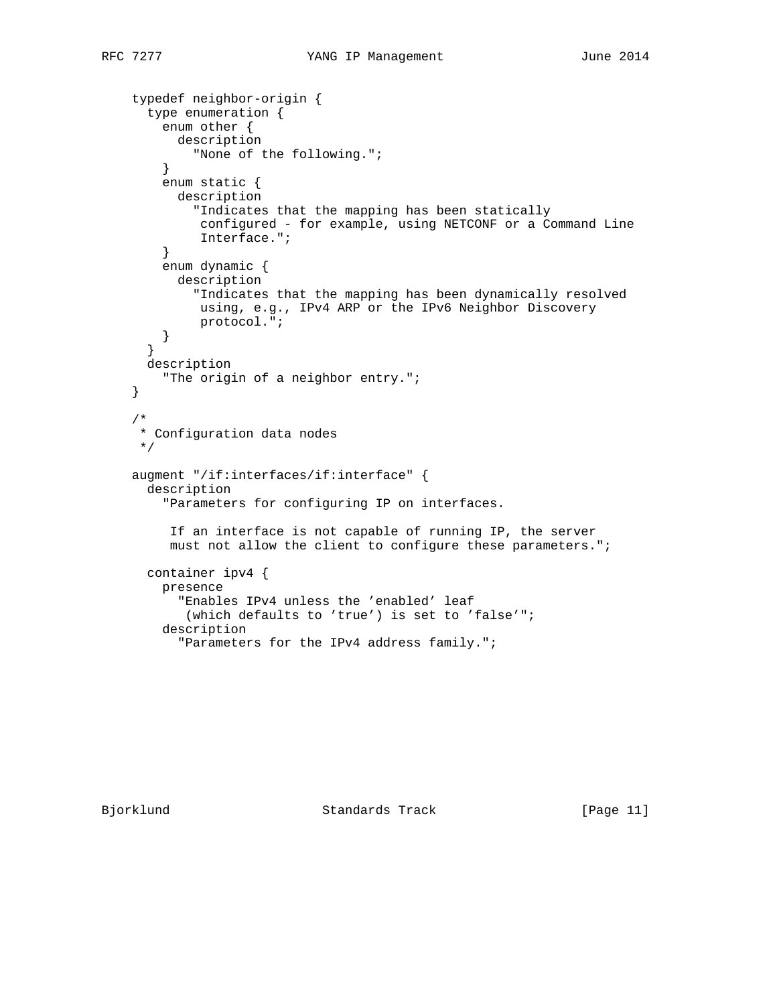```
 typedef neighbor-origin {
 type enumeration {
   enum other {
      description
        "None of the following.";
    }
   enum static {
     description
        "Indicates that the mapping has been statically
         configured - for example, using NETCONF or a Command Line
         Interface.";
    }
   enum dynamic {
     description
        "Indicates that the mapping has been dynamically resolved
        using, e.g., IPv4 ARP or the IPv6 Neighbor Discovery
        protocol.";
   }
  }
 description
    "The origin of a neighbor entry.";
}
/*
* Configuration data nodes
 */
augment "/if:interfaces/if:interface" {
  description
    "Parameters for configuring IP on interfaces.
     If an interface is not capable of running IP, the server
     must not allow the client to configure these parameters.";
 container ipv4 {
   presence
      "Enables IPv4 unless the 'enabled' leaf
       (which defaults to 'true') is set to 'false'";
   description
      "Parameters for the IPv4 address family.";
```
Bjorklund Standards Track [Page 11]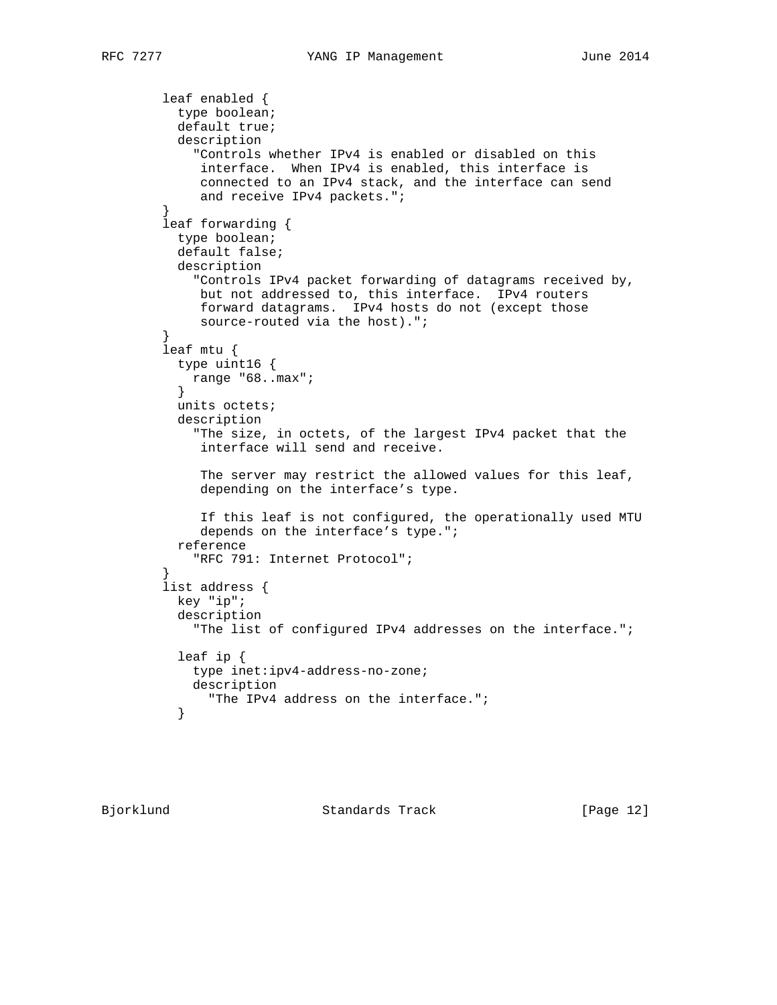```
 leaf enabled {
         type boolean;
         default true;
         description
            "Controls whether IPv4 is enabled or disabled on this
            interface. When IPv4 is enabled, this interface is
            connected to an IPv4 stack, and the interface can send
            and receive IPv4 packets.";
}
       leaf forwarding {
         type boolean;
         default false;
         description
            "Controls IPv4 packet forwarding of datagrams received by,
            but not addressed to, this interface. IPv4 routers
            forward datagrams. IPv4 hosts do not (except those
            source-routed via the host).";
        }
       leaf mtu {
         type uint16 {
           range "68..max";
}
         units octets;
         description
            "The size, in octets, of the largest IPv4 packet that the
            interface will send and receive.
            The server may restrict the allowed values for this leaf,
            depending on the interface's type.
            If this leaf is not configured, the operationally used MTU
            depends on the interface's type.";
         reference
           "RFC 791: Internet Protocol";
}
       list address {
         key "ip";
         description
            "The list of configured IPv4 addresses on the interface.";
         leaf ip {
           type inet:ipv4-address-no-zone;
           description
         "The IPv4 address on the interface.";<br>}
}
```
Bjorklund Standards Track [Page 12]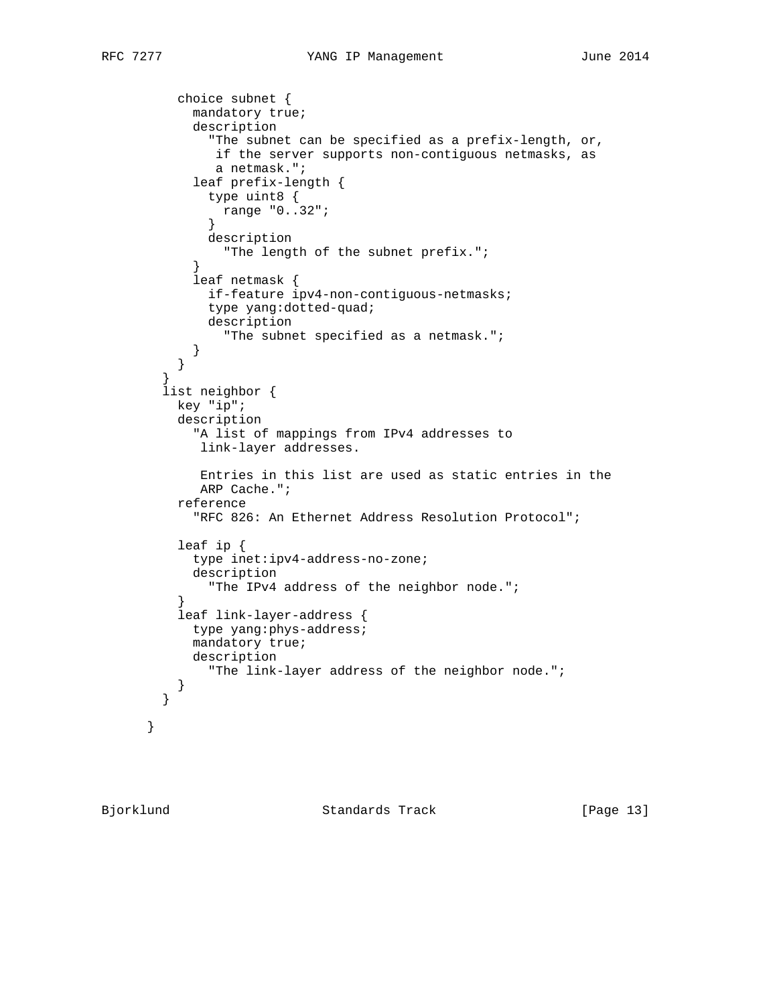```
 choice subnet {
           mandatory true;
           description
             "The subnet can be specified as a prefix-length, or,
              if the server supports non-contiguous netmasks, as
              a netmask.";
           leaf prefix-length {
             type uint8 {
              range "0..32";
}
             description
              "The length of the subnet prefix.";
}
           leaf netmask {
             if-feature ipv4-non-contiguous-netmasks;
             type yang:dotted-quad;
             description
               "The subnet specified as a netmask.";
}
         }
}
       list neighbor {
         key "ip";
         description
           "A list of mappings from IPv4 addresses to
            link-layer addresses.
            Entries in this list are used as static entries in the
            ARP Cache.";
         reference
           "RFC 826: An Ethernet Address Resolution Protocol";
         leaf ip {
           type inet:ipv4-address-no-zone;
           description
         "The IPv4 address of the neighbor node.";
}
         leaf link-layer-address {
           type yang:phys-address;
           mandatory true;
           description
             "The link-layer address of the neighbor node.";
}
       }
     }
```
Bjorklund Standards Track [Page 13]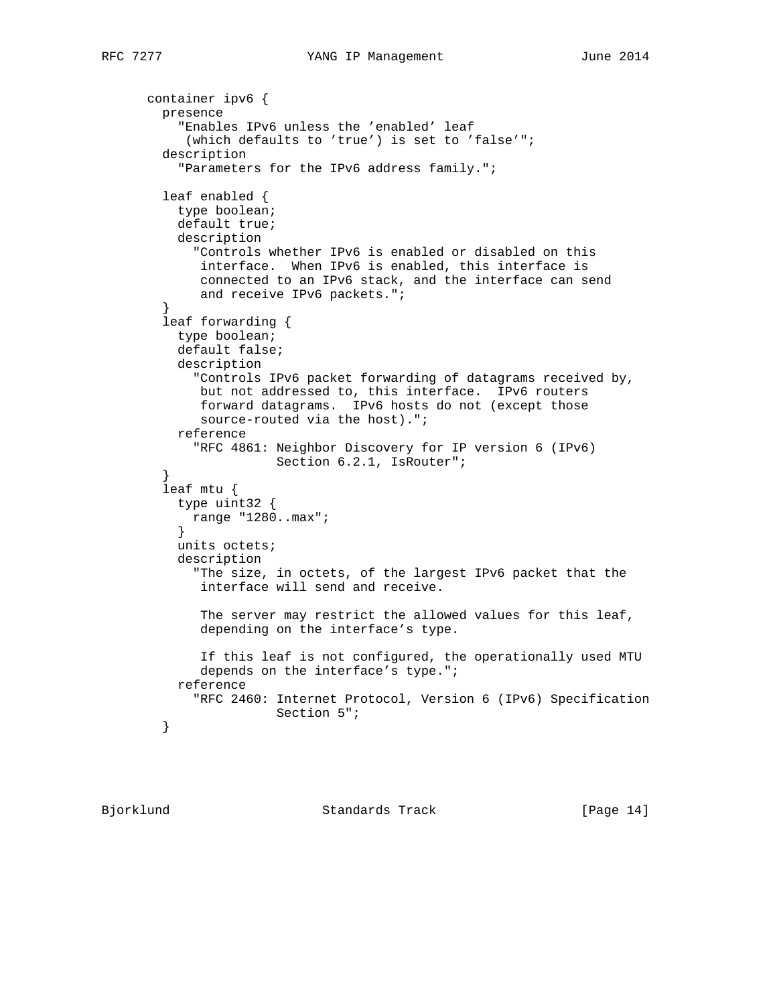```
 container ipv6 {
       presence
          "Enables IPv6 unless the 'enabled' leaf
           (which defaults to 'true') is set to 'false'";
       description
          "Parameters for the IPv6 address family.";
        leaf enabled {
         type boolean;
         default true;
         description
            "Controls whether IPv6 is enabled or disabled on this
            interface. When IPv6 is enabled, this interface is
            connected to an IPv6 stack, and the interface can send
            and receive IPv6 packets.";
        }
        leaf forwarding {
         type boolean;
         default false;
         description
            "Controls IPv6 packet forwarding of datagrams received by,
            but not addressed to, this interface. IPv6 routers
            forward datagrams. IPv6 hosts do not (except those
            source-routed via the host).";
         reference
            "RFC 4861: Neighbor Discovery for IP version 6 (IPv6)
                      Section 6.2.1, IsRouter";
}
       leaf mtu {
         type uint32 {
           range "1280..max";
}
         units octets;
         description
            "The size, in octets, of the largest IPv6 packet that the
            interface will send and receive.
             The server may restrict the allowed values for this leaf,
             depending on the interface's type.
             If this leaf is not configured, the operationally used MTU
             depends on the interface's type.";
         reference
           "RFC 2460: Internet Protocol, Version 6 (IPv6) Specification
                      Section 5";
        }
```
Bjorklund Standards Track [Page 14]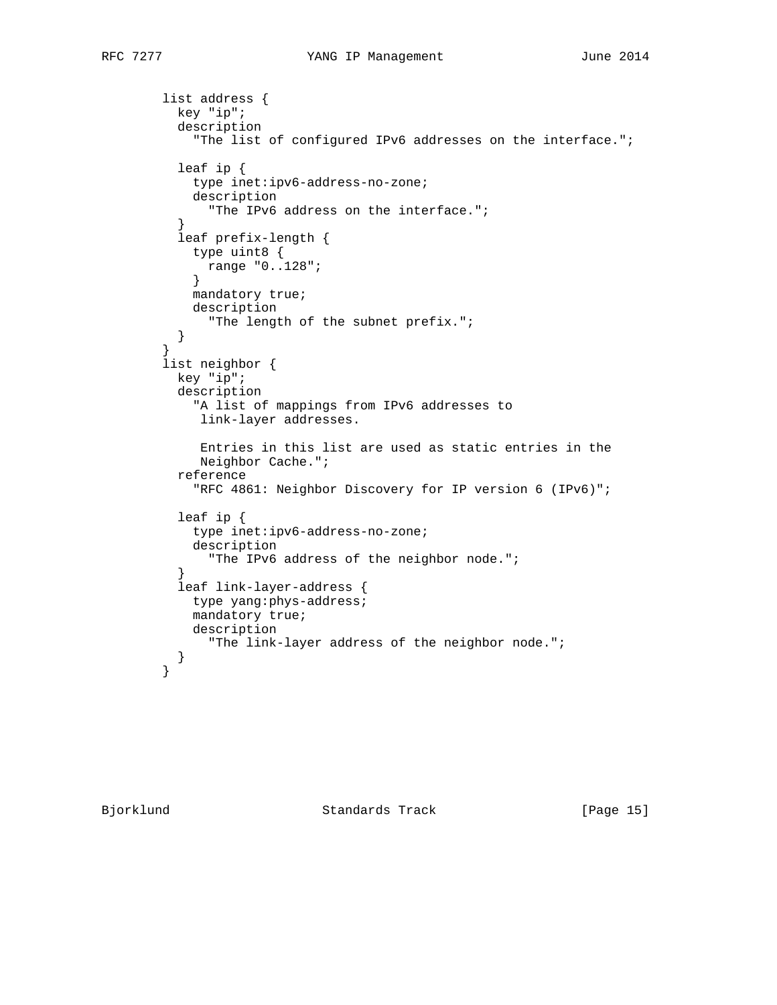```
 list address {
         key "ip";
         description
            "The list of configured IPv6 addresses on the interface.";
         leaf ip {
           type inet:ipv6-address-no-zone;
            description
              "The IPv6 address on the interface.";
}
         leaf prefix-length {
           type uint8 {
             range "0..128";
}
           mandatory true;
           description
             "The length of the subnet prefix.";
       }<br>}
}
        list neighbor {
         key "ip";
         description
            "A list of mappings from IPv6 addresses to
            link-layer addresses.
             Entries in this list are used as static entries in the
            Neighbor Cache.";
         reference
            "RFC 4861: Neighbor Discovery for IP version 6 (IPv6)";
         leaf ip {
           type inet:ipv6-address-no-zone;
           description
             "The IPv6 address of the neighbor node.";
}
         leaf link-layer-address {
           type yang:phys-address;
           mandatory true;
           description
              "The link-layer address of the neighbor node.";
          }
        }
```
Bjorklund Standards Track [Page 15]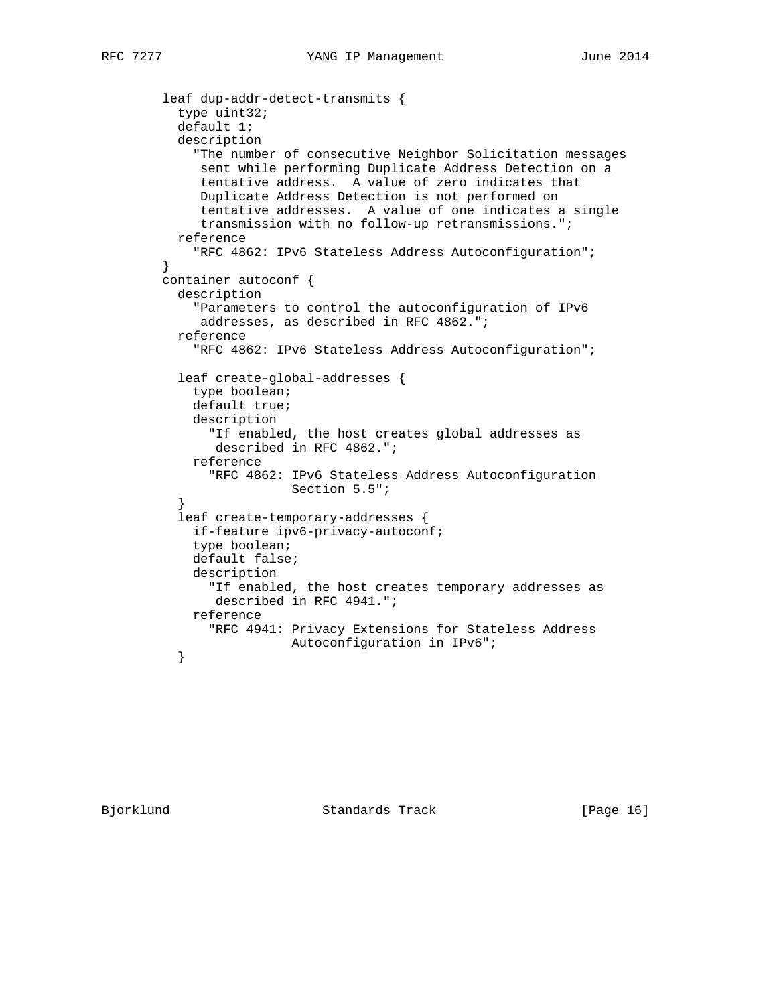```
 leaf dup-addr-detect-transmits {
         type uint32;
         default 1;
         description
            "The number of consecutive Neighbor Solicitation messages
            sent while performing Duplicate Address Detection on a
            tentative address. A value of zero indicates that
            Duplicate Address Detection is not performed on
            tentative addresses. A value of one indicates a single
            transmission with no follow-up retransmissions.";
         reference
            "RFC 4862: IPv6 Stateless Address Autoconfiguration";
        }
       container autoconf {
         description
            "Parameters to control the autoconfiguration of IPv6
            addresses, as described in RFC 4862.";
         reference
            "RFC 4862: IPv6 Stateless Address Autoconfiguration";
         leaf create-global-addresses {
           type boolean;
           default true;
           description
              "If enabled, the host creates global addresses as
               described in RFC 4862.";
           reference
              "RFC 4862: IPv6 Stateless Address Autoconfiguration
                         Section 5.5";
}
         leaf create-temporary-addresses {
           if-feature ipv6-privacy-autoconf;
           type boolean;
           default false;
           description
             "If enabled, the host creates temporary addresses as
              described in RFC 4941.";
           reference
              "RFC 4941: Privacy Extensions for Stateless Address
         Autoconfiguration in IPv6";<br>}
}
```
Bjorklund Standards Track [Page 16]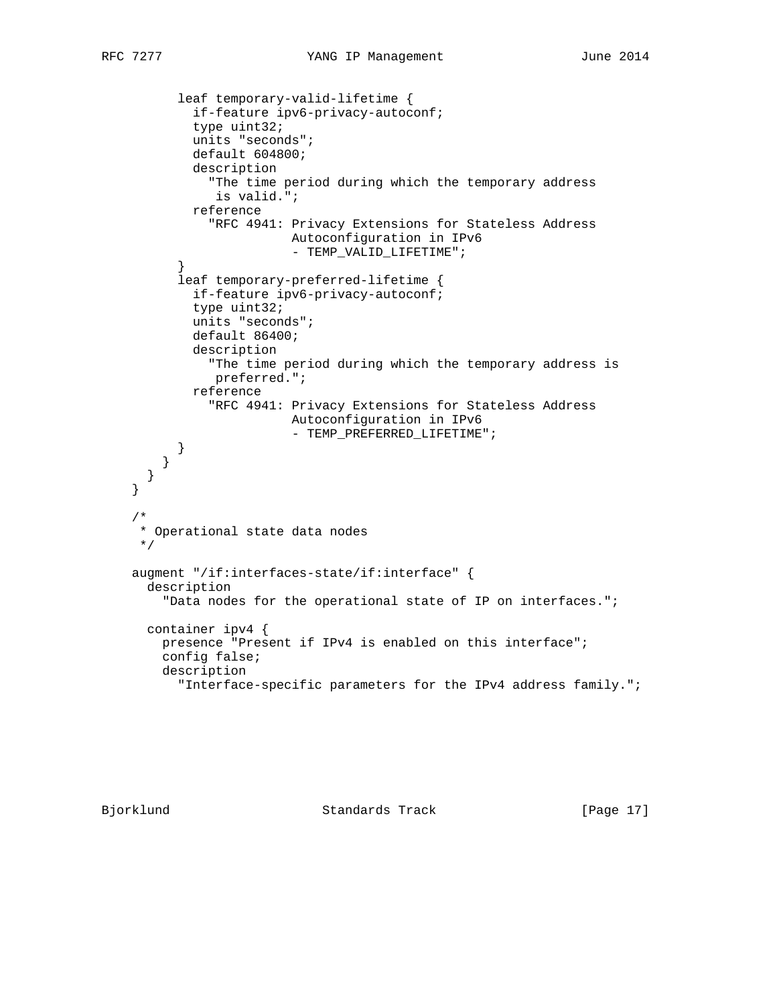```
 leaf temporary-valid-lifetime {
            if-feature ipv6-privacy-autoconf;
            type uint32;
            units "seconds";
            default 604800;
            description
              "The time period during which the temporary address
               is valid.";
            reference
              "RFC 4941: Privacy Extensions for Stateless Address
                         Autoconfiguration in IPv6
                        - TEMP_VALID_LIFETIME";
}
          leaf temporary-preferred-lifetime {
            if-feature ipv6-privacy-autoconf;
            type uint32;
            units "seconds";
            default 86400;
            description
              "The time period during which the temporary address is
               preferred.";
            reference
              "RFC 4941: Privacy Extensions for Stateless Address
                         Autoconfiguration in IPv6
                        - TEMP_PREFERRED_LIFETIME";
          }
        }
      }
    }
    /*
     * Operational state data nodes
     */
   augment "/if:interfaces-state/if:interface" {
     description
        "Data nodes for the operational state of IP on interfaces.";
     container ipv4 {
       presence "Present if IPv4 is enabled on this interface";
       config false;
       description
          "Interface-specific parameters for the IPv4 address family.";
```
Bjorklund Standards Track [Page 17]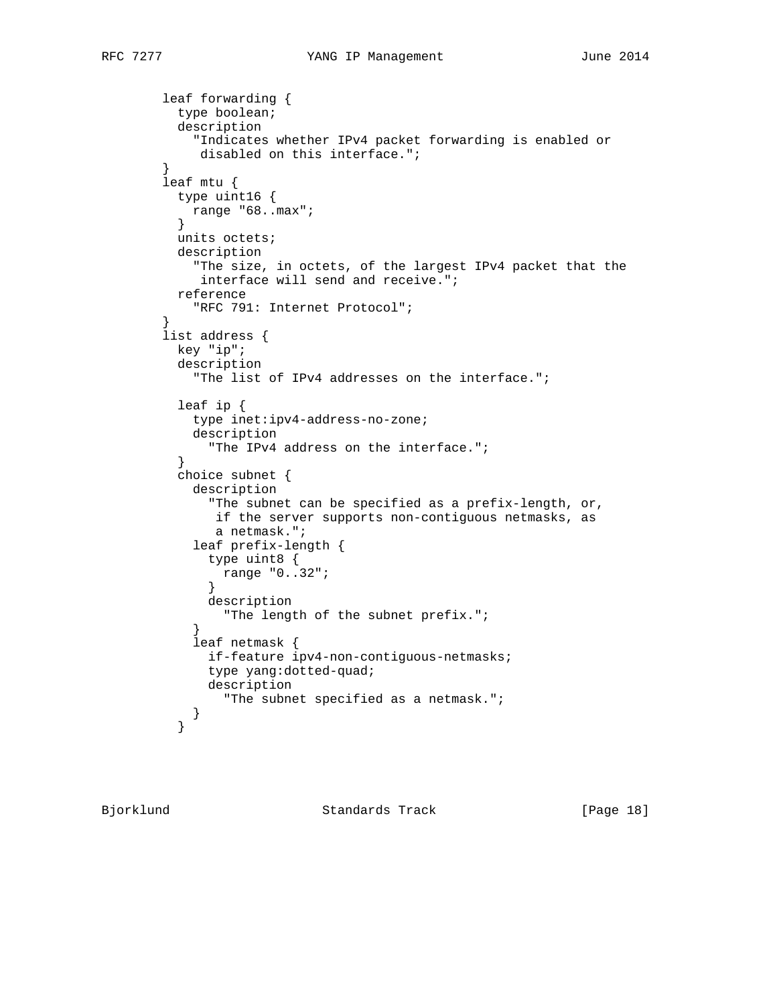```
 leaf forwarding {
         type boolean;
         description
           "Indicates whether IPv4 packet forwarding is enabled or
      disabled on this interface.";<br>}
}
       leaf mtu {
         type uint16 {
          range "68..max";
         }
         units octets;
         description
           "The size, in octets, of the largest IPv4 packet that the
            interface will send and receive.";
         reference
           "RFC 791: Internet Protocol";
}
       list address {
         key "ip";
         description
           "The list of IPv4 addresses on the interface.";
         leaf ip {
           type inet:ipv4-address-no-zone;
           description
             "The IPv4 address on the interface.";
}
         choice subnet {
           description
             "The subnet can be specified as a prefix-length, or,
              if the server supports non-contiguous netmasks, as
             a netmask.";
           leaf prefix-length {
             type uint8 {
              range "0..32";
}
             description
               "The length of the subnet prefix.";
}
           leaf netmask {
             if-feature ipv4-non-contiguous-netmasks;
             type yang:dotted-quad;
             description
               "The subnet specified as a netmask.";
}
}
```
Bjorklund Standards Track [Page 18]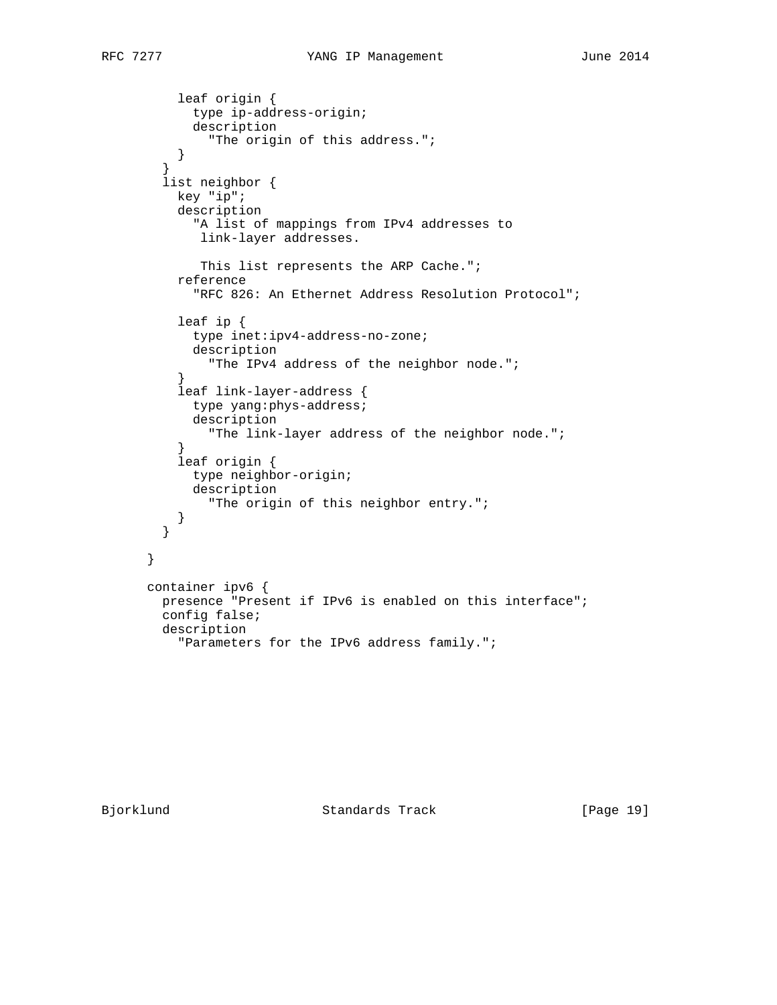```
 leaf origin {
           type ip-address-origin;
           description
              "The origin of this address.";
}
}
       list neighbor {
         key "ip";
         description
           "A list of mappings from IPv4 addresses to
            link-layer addresses.
            This list represents the ARP Cache.";
         reference
            "RFC 826: An Ethernet Address Resolution Protocol";
         leaf ip {
           type inet:ipv4-address-no-zone;
           description
             "The IPv4 address of the neighbor node.";
}
         leaf link-layer-address {
           type yang:phys-address;
           description
             "The link-layer address of the neighbor node.";
}
         leaf origin {
           type neighbor-origin;
           description
             "The origin of this neighbor entry.";
         }
        }
     }
     container ipv6 {
       presence "Present if IPv6 is enabled on this interface";
       config false;
       description
          "Parameters for the IPv6 address family.";
```
Bjorklund Standards Track [Page 19]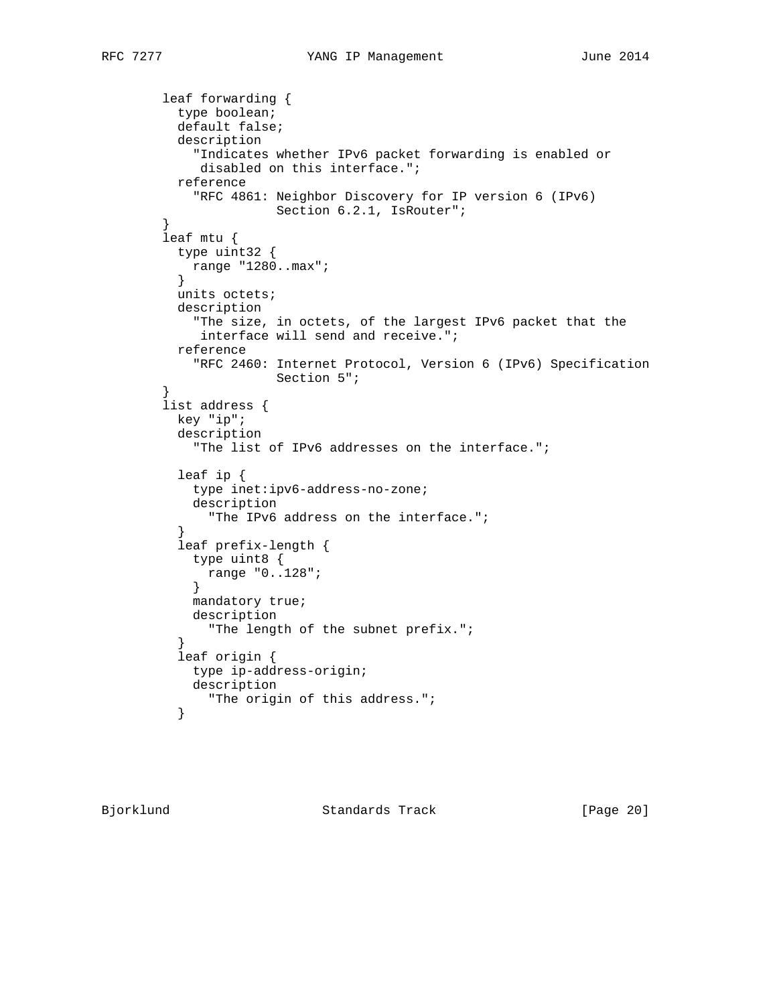```
 leaf forwarding {
         type boolean;
         default false;
         description
           "Indicates whether IPv6 packet forwarding is enabled or
            disabled on this interface.";
         reference
           "RFC 4861: Neighbor Discovery for IP version 6 (IPv6)
                    Section 6.2.1, IsRouter";
       }
       leaf mtu {
         type uint32 {
        range "1280..max";<br>}
}
         units octets;
         description
           "The size, in octets, of the largest IPv6 packet that the
            interface will send and receive.";
         reference
           "RFC 2460: Internet Protocol, Version 6 (IPv6) Specification
                     Section 5";
}
       list address {
         key "ip";
         description
           "The list of IPv6 addresses on the interface.";
         leaf ip {
           type inet:ipv6-address-no-zone;
           description
             "The IPv6 address on the interface.";
}
         leaf prefix-length {
           type uint8 {
            range "0..128";
}
           mandatory true;
           description
             "The length of the subnet prefix.";
}
         leaf origin {
           type ip-address-origin;
           description
        "The origin of this address.";<br>}
}
```
Bjorklund Standards Track [Page 20]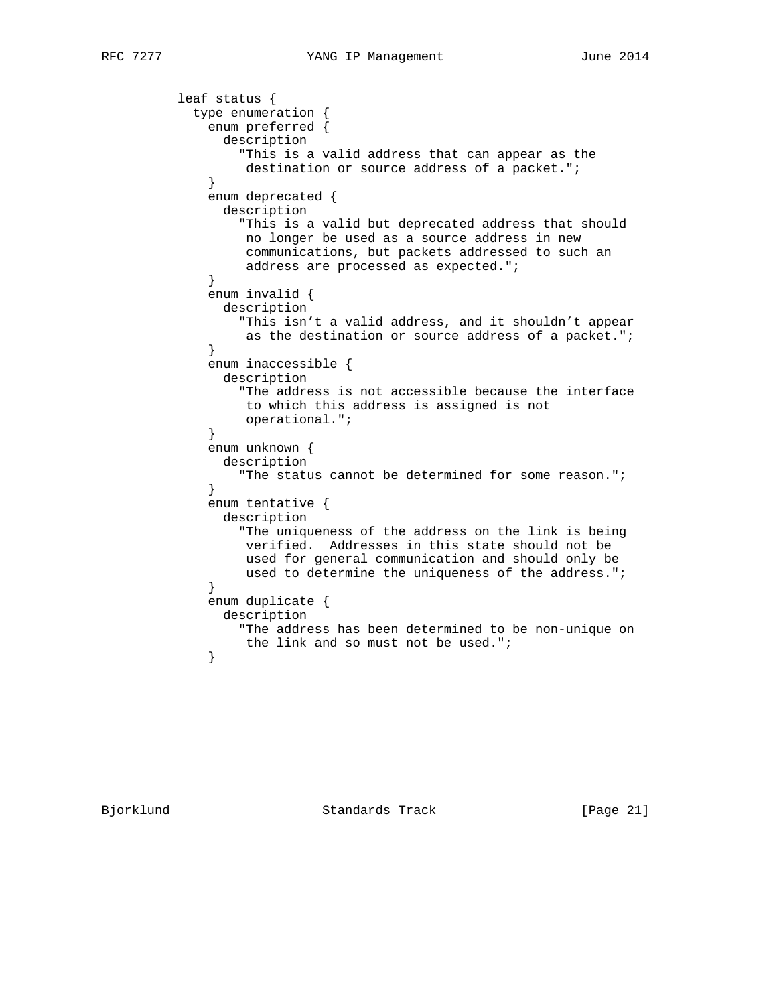```
 leaf status {
           type enumeration {
             enum preferred {
              description
                 "This is a valid address that can appear as the
                destination or source address of a packet.";
}
             enum deprecated {
               description
                 "This is a valid but deprecated address that should
                 no longer be used as a source address in new
                 communications, but packets addressed to such an
            address are processed as expected.";<br>}
}
             enum invalid {
              description
                "This isn't a valid address, and it shouldn't appear
                 as the destination or source address of a packet.";
}
             enum inaccessible {
              description
                 "The address is not accessible because the interface
                 to which this address is assigned is not
            operational.";<br>}
}
             enum unknown {
               description
                 "The status cannot be determined for some reason.";
}
             enum tentative {
              description
                 "The uniqueness of the address on the link is being
                 verified. Addresses in this state should not be
                 used for general communication and should only be
                used to determine the uniqueness of the address.";
}
             enum duplicate {
              description
                "The address has been determined to be non-unique on
            the link and so must not be used.";<br>}
}
```
Bjorklund Standards Track [Page 21]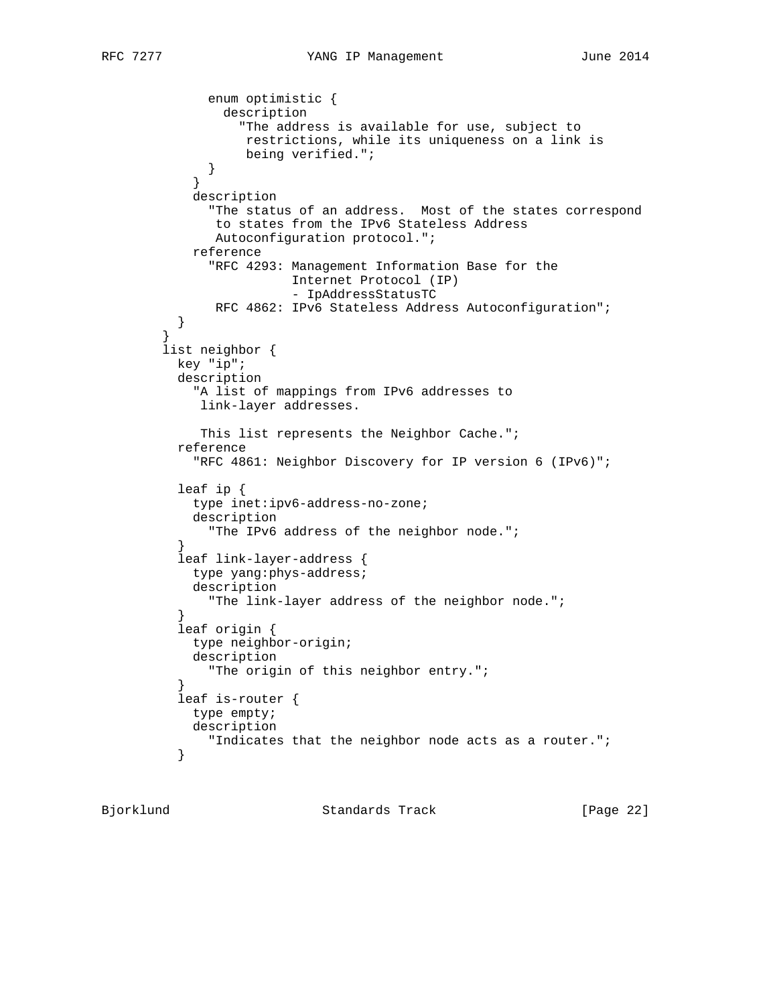```
 enum optimistic {
               description
                  "The address is available for use, subject to
                  restrictions, while its uniqueness on a link is
            being verified.";<br>}
}
}
           description
             "The status of an address. Most of the states correspond
              to states from the IPv6 Stateless Address
              Autoconfiguration protocol.";
           reference
             "RFC 4293: Management Information Base for the
                        Internet Protocol (IP)
                         - IpAddressStatusTC
              RFC 4862: IPv6 Stateless Address Autoconfiguration";
       \begin{matrix} \end{matrix} }
       list neighbor {
         key "ip";
         description
           "A list of mappings from IPv6 addresses to
            link-layer addresses.
           This list represents the Neighbor Cache.";
         reference
            "RFC 4861: Neighbor Discovery for IP version 6 (IPv6)";
         leaf ip {
           type inet:ipv6-address-no-zone;
           description
             "The IPv6 address of the neighbor node.";
}
         leaf link-layer-address {
           type yang:phys-address;
           description
             "The link-layer address of the neighbor node.";
}
          leaf origin {
           type neighbor-origin;
           description
             "The origin of this neighbor entry.";
}
         leaf is-router {
           type empty;
           description
          "Indicates that the neighbor node acts as a router.";
}
```
Bjorklund Standards Track [Page 22]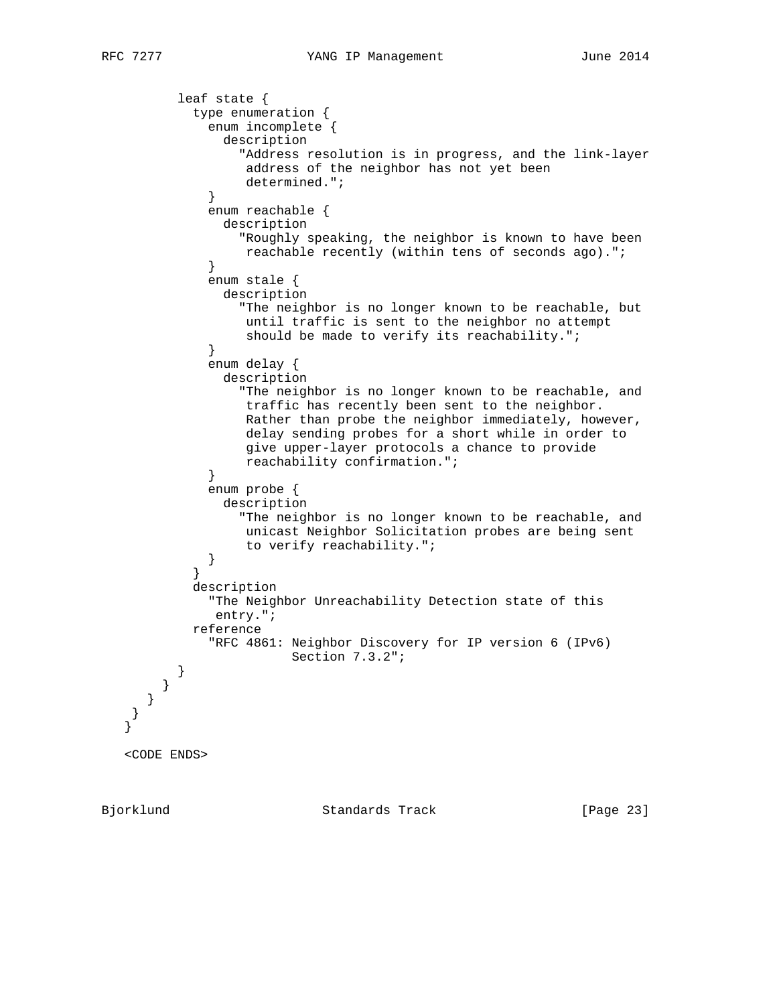```
 leaf state {
           type enumeration {
             enum incomplete {
               description
                 "Address resolution is in progress, and the link-layer
                  address of the neighbor has not yet been
                  determined.";
}
             enum reachable {
               description
                 "Roughly speaking, the neighbor is known to have been
            reachable recently (within tens of seconds ago).";<br>}
}
             enum stale {
               description
                 "The neighbor is no longer known to be reachable, but
                  until traffic is sent to the neighbor no attempt
                  should be made to verify its reachability.";
}
             enum delay {
               description
                 "The neighbor is no longer known to be reachable, and
                  traffic has recently been sent to the neighbor.
                  Rather than probe the neighbor immediately, however,
                  delay sending probes for a short while in order to
                  give upper-layer protocols a chance to provide
                  reachability confirmation.";
}
             enum probe {
               description
                 "The neighbor is no longer known to be reachable, and
                  unicast Neighbor Solicitation probes are being sent
            to verify reachability.";<br>}
}
}
           description
             "The Neighbor Unreachability Detection state of this
              entry.";
           reference
             "RFC 4861: Neighbor Discovery for IP version 6 (IPv6)
                        Section 7.3.2";
         }
      }
     }
  <CODE ENDS>
```
 } }

Bjorklund Standards Track [Page 23]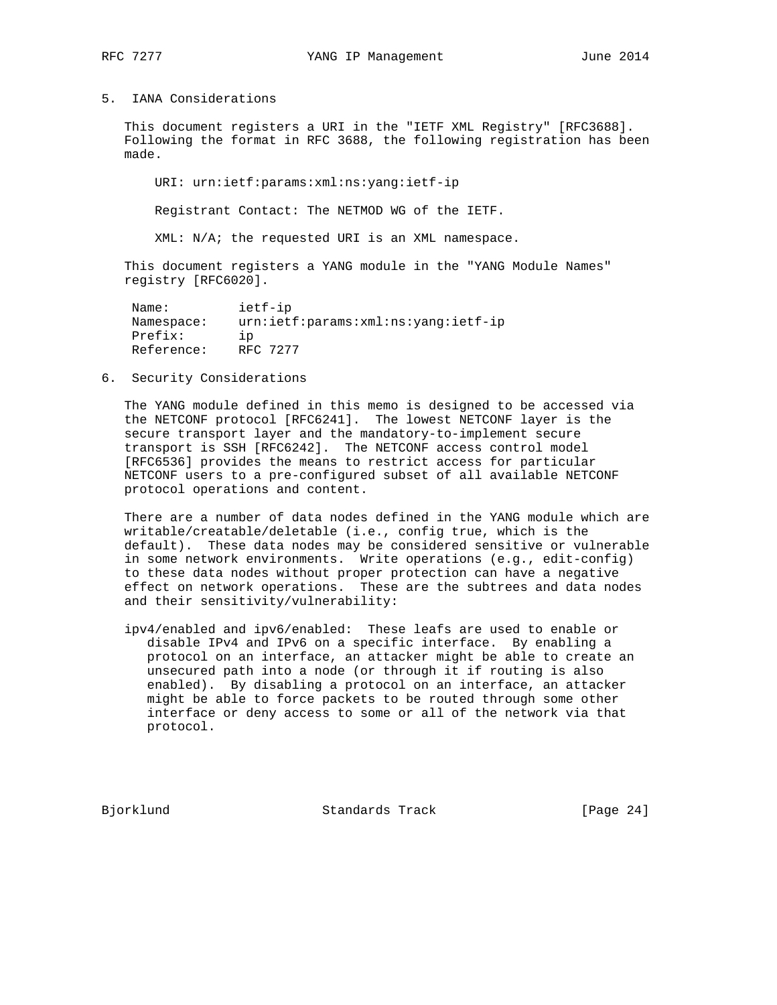## 5. IANA Considerations

 This document registers a URI in the "IETF XML Registry" [RFC3688]. Following the format in RFC 3688, the following registration has been made.

 URI: urn:ietf:params:xml:ns:yang:ietf-ip Registrant Contact: The NETMOD WG of the IETF.

XML: N/A; the requested URI is an XML namespace.

 This document registers a YANG module in the "YANG Module Names" registry [RFC6020].

| Name:      | ietf-ip                                                                       |
|------------|-------------------------------------------------------------------------------|
| Namespace: | $urn: \text{ietf:params:} \text{xml:} \text{ns:} \text{yang:} \text{ietf-ip}$ |
| Prefix:    | ıр                                                                            |
| Reference: | RFC 7277                                                                      |
|            |                                                                               |

6. Security Considerations

 The YANG module defined in this memo is designed to be accessed via the NETCONF protocol [RFC6241]. The lowest NETCONF layer is the secure transport layer and the mandatory-to-implement secure transport is SSH [RFC6242]. The NETCONF access control model [RFC6536] provides the means to restrict access for particular NETCONF users to a pre-configured subset of all available NETCONF protocol operations and content.

 There are a number of data nodes defined in the YANG module which are writable/creatable/deletable (i.e., config true, which is the default). These data nodes may be considered sensitive or vulnerable in some network environments. Write operations (e.g., edit-config) to these data nodes without proper protection can have a negative effect on network operations. These are the subtrees and data nodes and their sensitivity/vulnerability:

 ipv4/enabled and ipv6/enabled: These leafs are used to enable or disable IPv4 and IPv6 on a specific interface. By enabling a protocol on an interface, an attacker might be able to create an unsecured path into a node (or through it if routing is also enabled). By disabling a protocol on an interface, an attacker might be able to force packets to be routed through some other interface or deny access to some or all of the network via that protocol.

Bjorklund Standards Track [Page 24]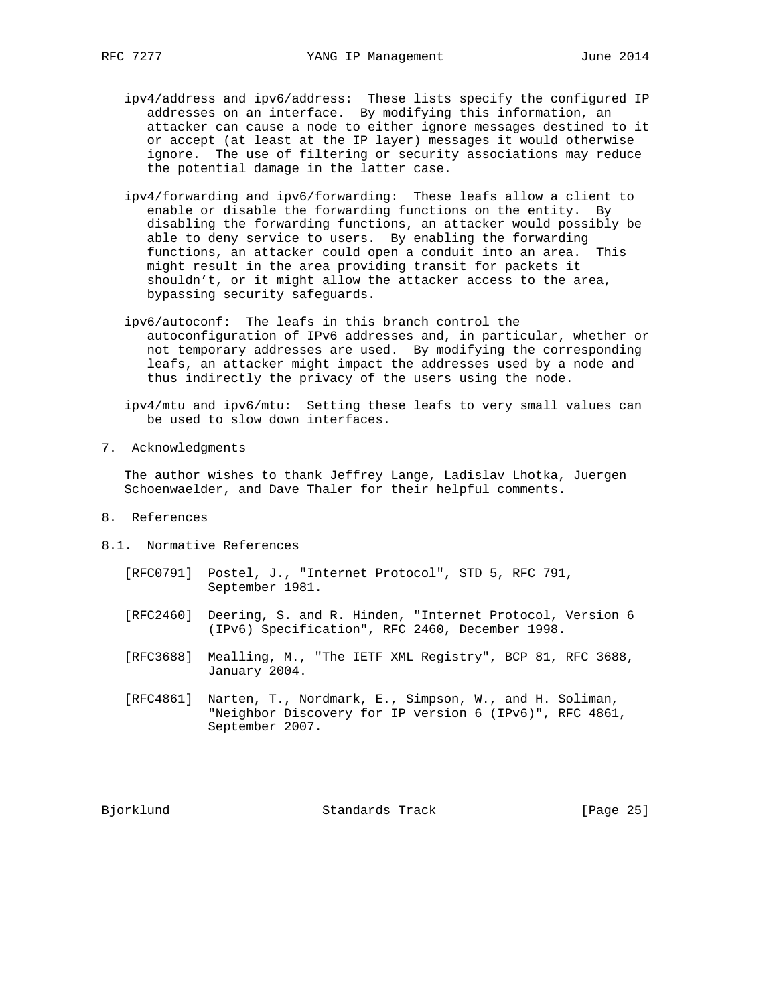- ipv4/address and ipv6/address: These lists specify the configured IP addresses on an interface. By modifying this information, an attacker can cause a node to either ignore messages destined to it or accept (at least at the IP layer) messages it would otherwise ignore. The use of filtering or security associations may reduce the potential damage in the latter case.
- ipv4/forwarding and ipv6/forwarding: These leafs allow a client to enable or disable the forwarding functions on the entity. By disabling the forwarding functions, an attacker would possibly be able to deny service to users. By enabling the forwarding functions, an attacker could open a conduit into an area. This might result in the area providing transit for packets it shouldn't, or it might allow the attacker access to the area, bypassing security safeguards.
- ipv6/autoconf: The leafs in this branch control the autoconfiguration of IPv6 addresses and, in particular, whether or not temporary addresses are used. By modifying the corresponding leafs, an attacker might impact the addresses used by a node and thus indirectly the privacy of the users using the node.
- ipv4/mtu and ipv6/mtu: Setting these leafs to very small values can be used to slow down interfaces.
- 7. Acknowledgments

 The author wishes to thank Jeffrey Lange, Ladislav Lhotka, Juergen Schoenwaelder, and Dave Thaler for their helpful comments.

- 8. References
- 8.1. Normative References
	- [RFC0791] Postel, J., "Internet Protocol", STD 5, RFC 791, September 1981.
	- [RFC2460] Deering, S. and R. Hinden, "Internet Protocol, Version 6 (IPv6) Specification", RFC 2460, December 1998.
	- [RFC3688] Mealling, M., "The IETF XML Registry", BCP 81, RFC 3688, January 2004.
	- [RFC4861] Narten, T., Nordmark, E., Simpson, W., and H. Soliman, "Neighbor Discovery for IP version 6 (IPv6)", RFC 4861, September 2007.

Bjorklund Standards Track [Page 25]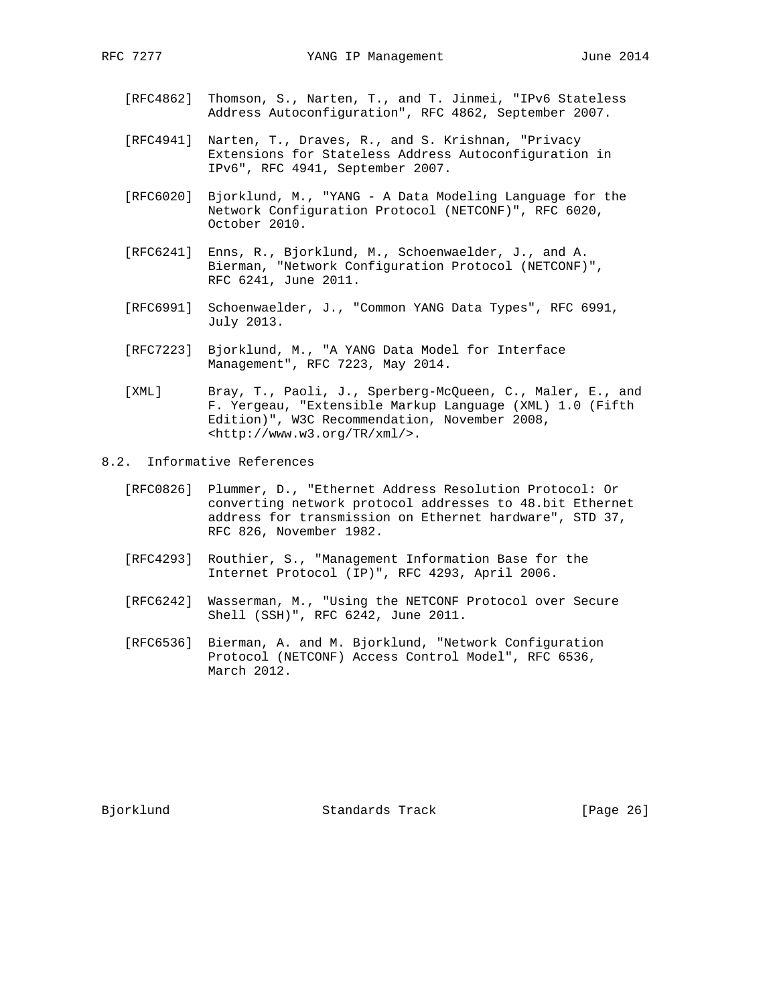- [RFC4862] Thomson, S., Narten, T., and T. Jinmei, "IPv6 Stateless Address Autoconfiguration", RFC 4862, September 2007.
- [RFC4941] Narten, T., Draves, R., and S. Krishnan, "Privacy Extensions for Stateless Address Autoconfiguration in IPv6", RFC 4941, September 2007.
- [RFC6020] Bjorklund, M., "YANG A Data Modeling Language for the Network Configuration Protocol (NETCONF)", RFC 6020, October 2010.
- [RFC6241] Enns, R., Bjorklund, M., Schoenwaelder, J., and A. Bierman, "Network Configuration Protocol (NETCONF)", RFC 6241, June 2011.
- [RFC6991] Schoenwaelder, J., "Common YANG Data Types", RFC 6991, July 2013.
- [RFC7223] Bjorklund, M., "A YANG Data Model for Interface Management", RFC 7223, May 2014.
- [XML] Bray, T., Paoli, J., Sperberg-McQueen, C., Maler, E., and F. Yergeau, "Extensible Markup Language (XML) 1.0 (Fifth Edition)", W3C Recommendation, November 2008, <http://www.w3.org/TR/xml/>.
- 8.2. Informative References
	- [RFC0826] Plummer, D., "Ethernet Address Resolution Protocol: Or converting network protocol addresses to 48.bit Ethernet address for transmission on Ethernet hardware", STD 37, RFC 826, November 1982.
	- [RFC4293] Routhier, S., "Management Information Base for the Internet Protocol (IP)", RFC 4293, April 2006.
	- [RFC6242] Wasserman, M., "Using the NETCONF Protocol over Secure Shell (SSH)", RFC 6242, June 2011.
	- [RFC6536] Bierman, A. and M. Bjorklund, "Network Configuration Protocol (NETCONF) Access Control Model", RFC 6536, March 2012.

Bjorklund Standards Track [Page 26]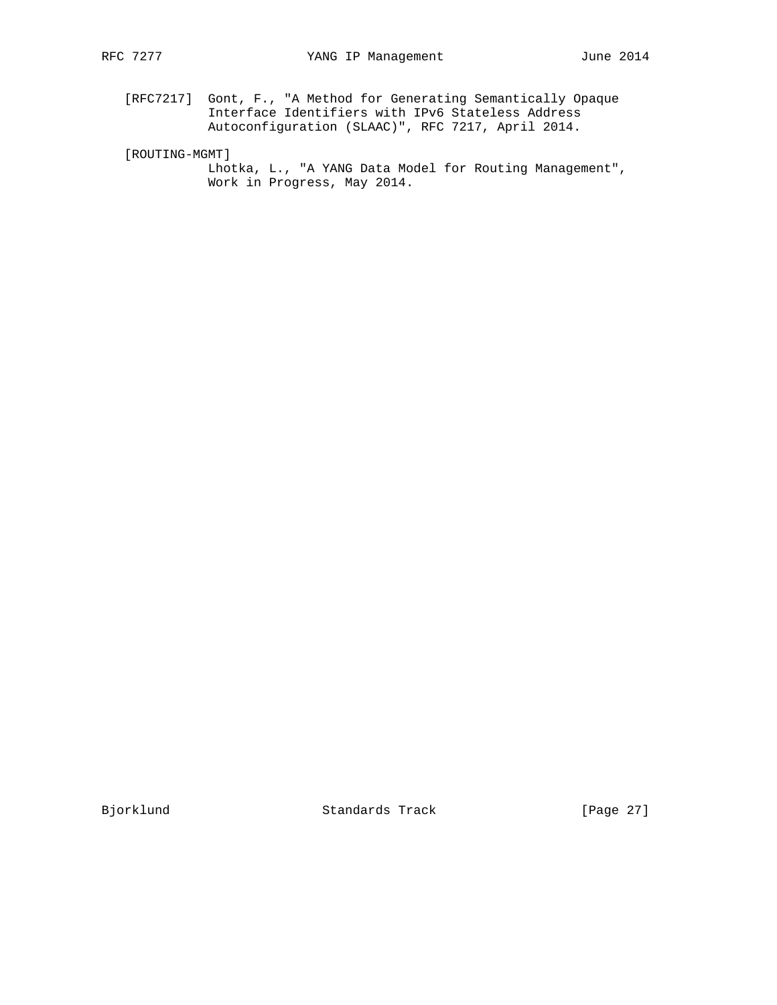[RFC7217] Gont, F., "A Method for Generating Semantically Opaque Interface Identifiers with IPv6 Stateless Address Autoconfiguration (SLAAC)", RFC 7217, April 2014.

[ROUTING-MGMT]

 Lhotka, L., "A YANG Data Model for Routing Management", Work in Progress, May 2014.

Bjorklund Standards Track [Page 27]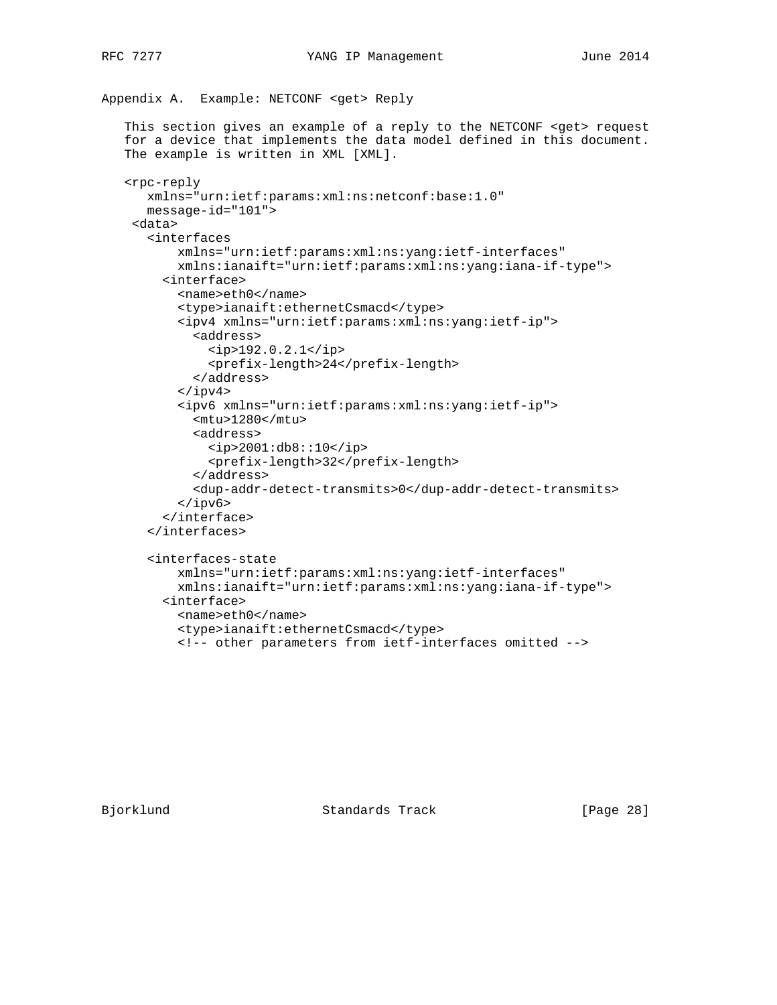```
Appendix A. Example: NETCONF <get> Reply
  This section gives an example of a reply to the NETCONF <get> request
   for a device that implements the data model defined in this document.
   The example is written in XML [XML].
   <rpc-reply
      xmlns="urn:ietf:params:xml:ns:netconf:base:1.0"
      message-id="101">
    <data>
      <interfaces
          xmlns="urn:ietf:params:xml:ns:yang:ietf-interfaces"
          xmlns:ianaift="urn:ietf:params:xml:ns:yang:iana-if-type">
        <interface>
          <name>eth0</name>
          <type>ianaift:ethernetCsmacd</type>
          <ipv4 xmlns="urn:ietf:params:xml:ns:yang:ietf-ip">
            <address>
              <ip>192.0.2.1</ip>
              <prefix-length>24</prefix-length>
            </address>
         \langleipv4>
          <ipv6 xmlns="urn:ietf:params:xml:ns:yang:ietf-ip">
            <mtu>1280</mtu>
            <address>
              <ip>2001:db8::10</ip>
              <prefix-length>32</prefix-length>
            </address>
            <dup-addr-detect-transmits>0</dup-addr-detect-transmits>
          </ipv6>
        </interface>
      </interfaces>
      <interfaces-state
          xmlns="urn:ietf:params:xml:ns:yang:ietf-interfaces"
          xmlns:ianaift="urn:ietf:params:xml:ns:yang:iana-if-type">
        <interface>
          <name>eth0</name>
          <type>ianaift:ethernetCsmacd</type>
          <!-- other parameters from ietf-interfaces omitted -->
```
Bjorklund Standards Track [Page 28]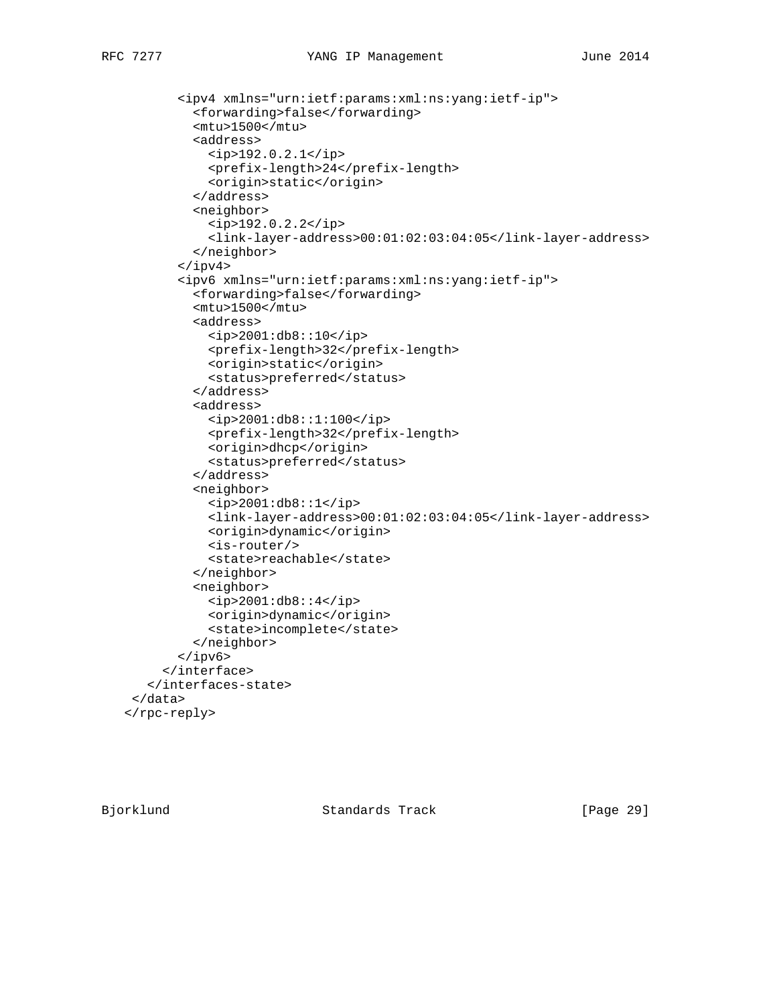```
 <ipv4 xmlns="urn:ietf:params:xml:ns:yang:ietf-ip">
         <forwarding>false</forwarding>
         <mtu>1500</mtu>
         <address>
          <ip>192.0.2.1</i><i><i>(ip)</i> <prefix-length>24</prefix-length>
           <origin>static</origin>
         </address>
         <neighbor>
           <ip>192.0.2.2</ip>
           <link-layer-address>00:01:02:03:04:05</link-layer-address>
         </neighbor>
       </ipv4>
       <ipv6 xmlns="urn:ietf:params:xml:ns:yang:ietf-ip">
         <forwarding>false</forwarding>
         <mtu>1500</mtu>
         <address>
           <ip>2001:db8::10</ip>
           <prefix-length>32</prefix-length>
           <origin>static</origin>
           <status>preferred</status>
         </address>
         <address>
           <ip>2001:db8::1:100</ip>
           <prefix-length>32</prefix-length>
           <origin>dhcp</origin>
           <status>preferred</status>
         </address>
         <neighbor>
          <ip>2001:db8::1</sup>/<ip> <link-layer-address>00:01:02:03:04:05</link-layer-address>
           <origin>dynamic</origin>
           <is-router/>
           <state>reachable</state>
         </neighbor>
         <neighbor>
          <ip>2001:db8::4</ip>
           <origin>dynamic</origin>
           <state>incomplete</state>
         </neighbor>
       </ipv6>
     </interface>
   </interfaces-state>
 </data>
</rpc-reply>
```
Bjorklund Standards Track [Page 29]